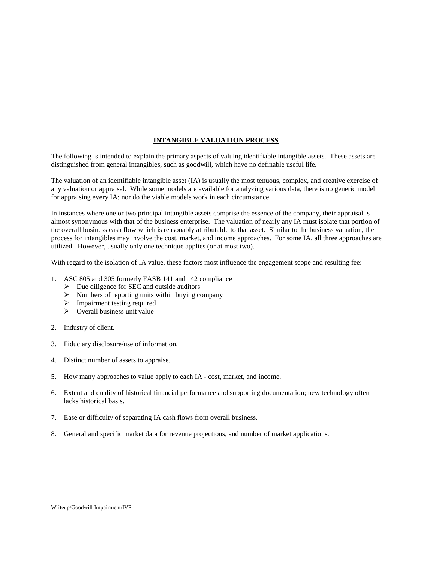## **INTANGIBLE VALUATION PROCESS**

The following is intended to explain the primary aspects of valuing identifiable intangible assets. These assets are distinguished from general intangibles, such as goodwill, which have no definable useful life.

The valuation of an identifiable intangible asset (IA) is usually the most tenuous, complex, and creative exercise of any valuation or appraisal. While some models are available for analyzing various data, there is no generic model for appraising every IA; nor do the viable models work in each circumstance.

In instances where one or two principal intangible assets comprise the essence of the company, their appraisal is almost synonymous with that of the business enterprise. The valuation of nearly any IA must isolate that portion of the overall business cash flow which is reasonably attributable to that asset. Similar to the business valuation, the process for intangibles may involve the cost, market, and income approaches. For some IA, all three approaches are utilized. However, usually only one technique applies (or at most two).

With regard to the isolation of IA value, these factors most influence the engagement scope and resulting fee:

- 1. ASC 805 and 305 formerly FASB 141 and 142 compliance
	- $\triangleright$  Due diligence for SEC and outside auditors
	- $\triangleright$  Numbers of reporting units within buying company
	- > Impairment testing required
	- $\triangleright$  Overall business unit value
- 2. Industry of client.
- 3. Fiduciary disclosure/use of information.
- 4. Distinct number of assets to appraise.
- 5. How many approaches to value apply to each IA cost, market, and income.
- 6. Extent and quality of historical financial performance and supporting documentation; new technology often lacks historical basis.
- 7. Ease or difficulty of separating IA cash flows from overall business.
- 8. General and specific market data for revenue projections, and number of market applications.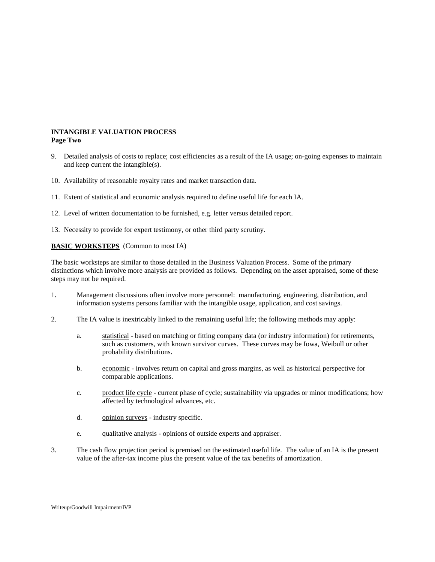## **INTANGIBLE VALUATION PROCESS Page Two**

- 9. Detailed analysis of costs to replace; cost efficiencies as a result of the IA usage; on-going expenses to maintain and keep current the intangible(s).
- 10. Availability of reasonable royalty rates and market transaction data.
- 11. Extent of statistical and economic analysis required to define useful life for each IA.
- 12. Level of written documentation to be furnished, e.g. letter versus detailed report.
- 13. Necessity to provide for expert testimony, or other third party scrutiny.

## **BASIC WORKSTEPS** (Common to most IA)

The basic worksteps are similar to those detailed in the Business Valuation Process. Some of the primary distinctions which involve more analysis are provided as follows. Depending on the asset appraised, some of these steps may not be required.

- 1. Management discussions often involve more personnel: manufacturing, engineering, distribution, and information systems persons familiar with the intangible usage, application, and cost savings.
- 2. The IA value is inextricably linked to the remaining useful life; the following methods may apply:
	- a. statistical based on matching or fitting company data (or industry information) for retirements, such as customers, with known survivor curves. These curves may be Iowa, Weibull or other probability distributions.
	- b. economic involves return on capital and gross margins, as well as historical perspective for comparable applications.
	- c. product life cycle current phase of cycle; sustainability via upgrades or minor modifications; how affected by technological advances, etc.
	- d. opinion surveys industry specific.
	- e. qualitative analysis opinions of outside experts and appraiser.
- 3. The cash flow projection period is premised on the estimated useful life. The value of an IA is the present value of the after-tax income plus the present value of the tax benefits of amortization.